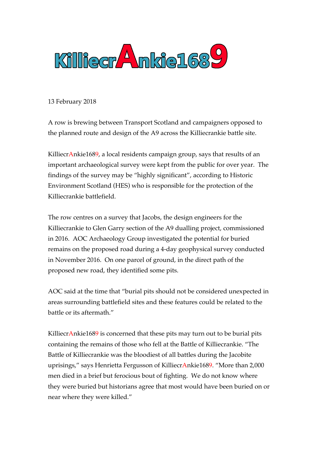

13 February 2018

A row is brewing between Transport Scotland and campaigners opposed to the planned route and design of the A9 across the Killiecrankie battle site.

KilliecrAnkie1689, a local residents campaign group, says that results of an important archaeological survey were kept from the public for over year. The findings of the survey may be "highly significant", according to Historic Environment Scotland (HES) who is responsible for the protection of the Killiecrankie battlefield.

The row centres on a survey that Jacobs, the design engineers for the Killiecrankie to Glen Garry section of the A9 dualling project, commissioned in 2016. AOC Archaeology Group investigated the potential for buried remains on the proposed road during a 4-day geophysical survey conducted in November 2016. On one parcel of ground, in the direct path of the proposed new road, they identified some pits.

AOC said at the time that "burial pits should not be considered unexpected in areas surrounding battlefield sites and these features could be related to the battle or its aftermath."

KilliecrAnkie1689 is concerned that these pits may turn out to be burial pits containing the remains of those who fell at the Battle of Killiecrankie. "The Battle of Killiecrankie was the bloodiest of all battles during the Jacobite uprisings," says Henrietta Fergusson of KilliecrAnkie1689. "More than 2,000 men died in a brief but ferocious bout of fighting. We do not know where they were buried but historians agree that most would have been buried on or near where they were killed."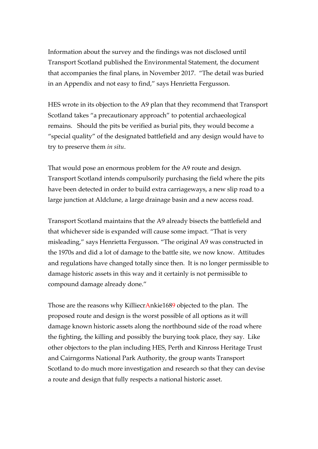Information about the survey and the findings was not disclosed until Transport Scotland published the Environmental Statement, the document that accompanies the final plans, in November 2017. "The detail was buried in an Appendix and not easy to find," says Henrietta Fergusson.

HES wrote in its objection to the A9 plan that they recommend that Transport Scotland takes "a precautionary approach" to potential archaeological remains. Should the pits be verified as burial pits, they would become a "special quality" of the designated battlefield and any design would have to try to preserve them *in situ*.

That would pose an enormous problem for the A9 route and design. Transport Scotland intends compulsorily purchasing the field where the pits have been detected in order to build extra carriageways, a new slip road to a large junction at Aldclune, a large drainage basin and a new access road.

Transport Scotland maintains that the A9 already bisects the battlefield and that whichever side is expanded will cause some impact. "That is very misleading," says Henrietta Fergusson. "The original A9 was constructed in the 1970s and did a lot of damage to the battle site, we now know. Attitudes and regulations have changed totally since then. It is no longer permissible to damage historic assets in this way and it certainly is not permissible to compound damage already done."

Those are the reasons why KilliecrAnkie1689 objected to the plan. The proposed route and design is the worst possible of all options as it will damage known historic assets along the northbound side of the road where the fighting, the killing and possibly the burying took place, they say. Like other objectors to the plan including HES, Perth and Kinross Heritage Trust and Cairngorms National Park Authority, the group wants Transport Scotland to do much more investigation and research so that they can devise a route and design that fully respects a national historic asset.